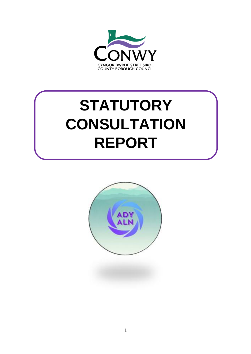

# **STATUTORY CONSULTATION REPORT**

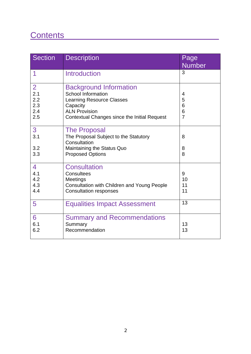# Contents\_\_\_\_\_\_\_\_\_\_\_\_\_\_\_\_\_\_\_\_\_\_\_\_\_\_\_\_\_\_\_\_\_

| <b>Section</b>                                    | <b>Description</b>                                                                                                                                                                 | Page<br><b>Number</b>              |
|---------------------------------------------------|------------------------------------------------------------------------------------------------------------------------------------------------------------------------------------|------------------------------------|
| 1                                                 | <b>Introduction</b>                                                                                                                                                                | 3                                  |
| $\overline{2}$<br>2.1<br>2.2<br>2.3<br>2.4<br>2.5 | <b>Background Information</b><br><b>School Information</b><br><b>Learning Resource Classes</b><br>Capacity<br><b>ALN Provision</b><br>Contextual Changes since the Initial Request | 4<br>5<br>6<br>6<br>$\overline{7}$ |
| 3<br>3.1<br>3.2<br>3.3                            | <b>The Proposal</b><br>The Proposal Subject to the Statutory<br>Consultation<br>Maintaining the Status Quo<br><b>Proposed Options</b>                                              | 8<br>8<br>8                        |
| 4<br>4.1<br>4.2<br>4.3<br>4.4                     | <b>Consultation</b><br>Consultees<br>Meetings<br><b>Consultation with Children and Young People</b><br><b>Consultation responses</b>                                               | 9<br>10<br>11<br>11                |
| 5                                                 | <b>Equalities Impact Assessment</b>                                                                                                                                                | 13                                 |
| 6<br>6.1<br>6.2                                   | <b>Summary and Recommendations</b><br>Summary<br>Recommendation                                                                                                                    | 13<br>13                           |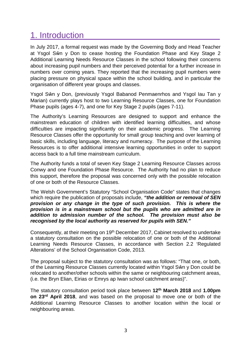# 1. Introduction

In July 2017, a formal request was made by the Governing Body and Head Teacher at Ysgol Sŵn y Don to cease hosting the Foundation Phase and Key Stage 2 Additional Learning Needs Resource Classes in the school following their concerns about increasing pupil numbers and their perceived potential for a further increase in numbers over coming years. They reported that the increasing pupil numbers were placing pressure on physical space within the school building, and in particular the organisation of different year groups and classes.

Ysgol Sŵn y Don, (previously Ysgol Babanod Penmaenrhos and Ysgol Iau Tan y Marian) currently plays host to two Learning Resource Classes, one for Foundation Phase pupils (ages 4-7), and one for Key Stage 2 pupils (ages 7-11).

The Authority's Learning Resources are designed to support and enhance the mainstream education of children with identified learning difficulties, and whose difficulties are impacting significantly on their academic progress. The Learning Resource Classes offer the opportunity for small group teaching and over learning of basic skills, including language, literacy and numeracy. The purpose of the Learning Resources is to offer additional intensive learning opportunities in order to support access back to a full time mainstream curriculum.

The Authority funds a total of seven Key Stage 2 Learning Resource Classes across Conwy and one Foundation Phase Resource. The Authority had no plan to reduce this support, therefore the proposal was concerned only with the possible relocation of one or both of the Resource Classes.

The Welsh Government's Statutory "School Organisation Code" states that changes which require the publication of proposals include, *"the addition or removal of SEN provision or any change in the type of such provision. This is where the provision is in a mainstream school but the pupils who are admitted are in addition to admission number of the school. The provision must also be recognised by the local authority as reserved for pupils with SEN."*

Consequently, at their meeting on 19<sup>th</sup> December 2017, Cabinet resolved to undertake a statutory consultation on the possible relocation of one or both of the Additional Learning Needs Resource Classes, in accordance with Section 2.2 'Regulated Alterations' of the School Organisation Code, 2013.

The proposal subject to the statutory consultation was as follows: "That one, or both, of the Learning Resource Classes currently located within Ysgol Sŵn y Don could be relocated to another/other schools within the same or neighbouring catchment areas, (i.e. the Bryn Elian, Eirias or Emrys ap Iwan school catchment areas)".

The statutory consultation period took place between **12th March 2018** and **1.00pm on 23rd April 2018**, and was based on the proposal to move one or both of the Additional Learning Resource Classes to another location within the local or neighbouring areas.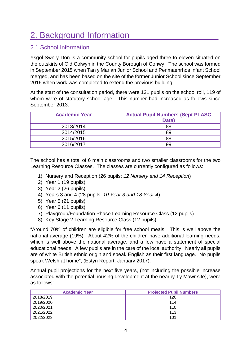# 2. Background Information

## 2.1 School Information

Ysgol Sŵn y Don is a community school for pupils aged three to eleven situated on the outskirts of Old Colwyn in the County Borough of Conwy. The school was formed in September 2015 when Tan y Marian Junior School and Penmaenrhos Infant School merged, and has been based on the site of the former Junior School since September 2016 when work was completed to extend the previous building.

At the start of the consultation period, there were 131 pupils on the school roll, 119 of whom were of statutory school age. This number had increased as follows since September 2013:

| <b>Academic Year</b> | <b>Actual Pupil Numbers (Sept PLASC</b><br>Data) |
|----------------------|--------------------------------------------------|
| 2013/2014            | 88                                               |
| 2014/2015            | 89                                               |
| 2015/2016            | 88                                               |
| 2016/2017            | 99                                               |

The school has a total of 6 main classrooms and two smaller classrooms for the two Learning Resource Classes. The classes are currently configured as follows:

- 1) Nursery and Reception (26 pupils: *12 Nursery and 14 Reception*)
- 2) Year 1 (19 pupils)
- 3) Year 2 (26 pupils)
- 4) Years 3 and 4 (28 pupils: *10 Year 3 and 18 Year 4*)
- 5) Year 5 (21 pupils)
- 6) Year 6 (11 pupils)
- 7) Playgroup/Foundation Phase Learning Resource Class (12 pupils)
- 8) Key Stage 2 Learning Resource Class (12 pupils)

"Around 70% of children are eligible for free school meals. This is well above the national average (19%). About 42% of the children have additional learning needs, which is well above the national average, and a few have a statement of special educational needs. A few pupils are in the care of the local authority. Nearly all pupils are of white British ethnic origin and speak English as their first language. No pupils speak Welsh at home", (Estyn Report, January 2017).

Annual pupil projections for the next five years, (not including the possible increase associated with the potential housing development at the nearby Ty Mawr site), were as follows:

| <b>Academic Year</b> | <b>Projected Pupil Numbers</b> |
|----------------------|--------------------------------|
| 2018/2019            | 120                            |
| 2019/2020            | 114                            |
| 2020/2021            | 110                            |
| 2021/2022            | 113                            |
| 2022/2023            | 101                            |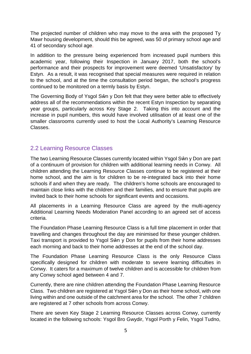The projected number of children who may move to the area with the proposed Ty Mawr housing development, should this be agreed, was 50 of primary school age and 41 of secondary school age.

In addition to the pressure being experienced from increased pupil numbers this academic year, following their Inspection in January 2017, both the school's performance and their prospects for improvement were deemed 'Unsatisfactory' by Estyn. As a result, it was recognised that special measures were required in relation to the school, and at the time the consultation period began, the school's progress continued to be monitored on a termly basis by Estyn.

The Governing Body of Ysgol Sŵn y Don felt that they were better able to effectively address all of the recommendations within the recent Estyn Inspection by separating year groups, particularly across Key Stage 2. Taking this into account and the increase in pupil numbers, this would have involved utilisation of at least one of the smaller classrooms currently used to host the Local Authority's Learning Resource Classes.

#### 2.2 Learning Resource Classes

The two Learning Resource Classes currently located within Ysgol Sŵn y Don are part of a continuum of provision for children with additional learning needs in Conwy. All children attending the Learning Resource Classes continue to be registered at their home school, and the aim is for children to be re-integrated back into their home schools if and when they are ready. The children's home schools are encouraged to maintain close links with the children and their families, and to ensure that pupils are invited back to their home schools for significant events and occasions.

All placements in a Learning Resource Class are agreed by the multi-agency Additional Learning Needs Moderation Panel according to an agreed set of access criteria.

The Foundation Phase Learning Resource Class is a full time placement in order that travelling and changes throughout the day are minimised for these younger children. Taxi transport is provided to Ysgol Sŵn y Don for pupils from their home addresses each morning and back to their home addresses at the end of the school day.

The Foundation Phase Learning Resource Class is the only Resource Class specifically designed for children with moderate to severe learning difficulties in Conwy. It caters for a maximum of twelve children and is accessible for children from any Conwy school aged between 4 and 7.

Currently, there are nine children attending the Foundation Phase Learning Resource Class. Two children are registered at Ysgol Sŵn y Don as their home school, with one living within and one outside of the catchment area for the school. The other 7 children are registered at 7 other schools from across Conwy.

There are seven Key Stage 2 Learning Resource Classes across Conwy, currently located in the following schools: Ysgol Bro Gwydir, Ysgol Porth y Felin, Ysgol Tudno,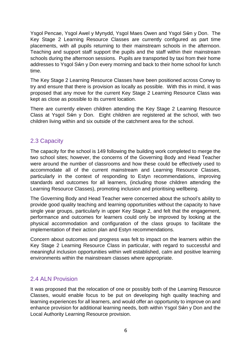Ysgol Pencae, Ysgol Awel y Mynydd, Ysgol Maes Owen and Ysgol Sŵn y Don. The Key Stage 2 Learning Resource Classes are currently configured as part time placements, with all pupils returning to their mainstream schools in the afternoon. Teaching and support staff support the pupils and the staff within their mainstream schools during the afternoon sessions. Pupils are transported by taxi from their home addresses to Ysgol Sŵn y Don every morning and back to their home school for lunch time.

The Key Stage 2 Learning Resource Classes have been positioned across Conwy to try and ensure that there is provision as locally as possible. With this in mind, it was proposed that any move for the current Key Stage 2 Learning Resource Class was kept as close as possible to its current location.

There are currently eleven children attending the Key Stage 2 Learning Resource Class at Ysgol Sŵn y Don. Eight children are registered at the school, with two children living within and six outside of the catchment area for the school.

### 2.3 Capacity

The capacity for the school is 149 following the building work completed to merge the two school sites; however, the concerns of the Governing Body and Head Teacher were around the number of classrooms and how these could be effectively used to accommodate all of the current mainstream and Learning Resource Classes, particularly in the context of responding to Estyn recommendations, improving standards and outcomes for all learners, (including those children attending the Learning Resource Classes), promoting inclusion and prioritising wellbeing.

The Governing Body and Head Teacher were concerned about the school's ability to provide good quality teaching and learning opportunities without the capacity to have single year groups, particularly in upper Key Stage 2, and felt that the engagement, performance and outcomes for learners could only be improved by looking at the physical accommodation and configuration of the class groups to facilitate the implementation of their action plan and Estyn recommendations.

Concern about outcomes and progress was felt to impact on the learners within the Key Stage 2 Learning Resource Class in particular, with regard to successful and meaningful inclusion opportunities within well established, calm and positive learning environments within the mainstream classes where appropriate.

### 2.4 ALN Provision

It was proposed that the relocation of one or possibly both of the Learning Resource Classes, would enable focus to be put on developing high quality teaching and learning experiences for all learners, and would offer an opportunity to improve on and enhance provision for additional learning needs, both within Ysgol Sŵn y Don and the Local Authority Learning Resource provision.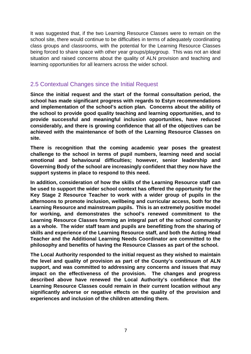It was suggested that, if the two Learning Resource Classes were to remain on the school site, there would continue to be difficulties in terms of adequately coordinating class groups and classrooms, with the potential for the Learning Resource Classes being forced to share space with other year groups/playgroup. This was not an ideal situation and raised concerns about the quality of ALN provision and teaching and learning opportunities for all learners across the wider school.

#### 2.5 Contextual Changes since the Initial Request

**Since the initial request and the start of the formal consultation period, the school has made significant progress with regards to Estyn recommendations and implementation of the school's action plan. Concerns about the ability of the school to provide good quality teaching and learning opportunities, and to provide successful and meaningful inclusion opportunities, have reduced considerably, and there is growing confidence that all of the objectives can be achieved with the maintenance of both of the Learning Resource Classes on site.**

**There is recognition that the coming academic year poses the greatest challenge to the school in terms of pupil numbers, learning need and social emotional and behavioural difficulties; however, senior leadership and Governing Body of the school are increasingly confident that they now have the support systems in place to respond to this need.**

**In addition, consideration of how the skills of the Learning Resource staff can be used to support the wider school context has offered the opportunity for the Key Stage 2 Resource Teacher to work with a wider group of pupils in the afternoons to promote inclusion, wellbeing and curricular access, both for the Learning Resource and mainstream pupils. This is an extremely positive model for working, and demonstrates the school's renewed commitment to the Learning Resource Classes forming an integral part of the school community as a whole. The wider staff team and pupils are benefitting from the sharing of skills and experience of the Learning Resource staff, and both the Acting Head Teacher and the Additional Learning Needs Coordinator are committed to the philosophy and benefits of having the Resource Classes as part of the school.**

**The Local Authority responded to the initial request as they wished to maintain the level and quality of provision as part of the County's continuum of ALN support, and was committed to addressing any concerns and issues that may impact on the effectiveness of the provision. The changes and progress described above have renewed the Local Authority's confidence that the Learning Resource Classes could remain in their current location without any significantly adverse or negative effects on the quality of the provision and experiences and inclusion of the children attending them.**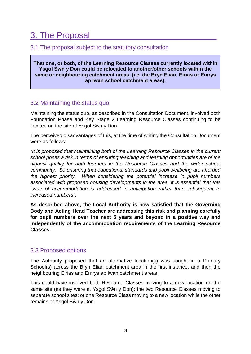# 3. The Proposal

### 3.1 The proposal subject to the statutory consultation

**That one, or both, of the Learning Resource Classes currently located within Ysgol Sŵn y Don could be relocated to another/other schools within the same or neighbouring catchment areas, (i.e. the Bryn Elian, Eirias or Emrys ap Iwan school catchment areas).**

#### 3.2 Maintaining the status quo

Maintaining the status quo, as described in the Consultation Document, involved both Foundation Phase and Key Stage 2 Learning Resource Classes continuing to be located on the site of Ysgol Sŵn y Don.

The perceived disadvantages of this, at the time of writing the Consultation Document were as follows:

*"It is proposed that maintaining both of the Learning Resource Classes in the current school poses a risk in terms of ensuring teaching and learning opportunities are of the highest quality for both learners in the Resource Classes and the wider school community. So ensuring that educational standards and pupil wellbeing are afforded the highest priority. When considering the potential increase in pupil numbers associated with proposed housing developments in the area, it is essential that this issue of accommodation is addressed in anticipation rather than subsequent to increased numbers".*

**As described above, the Local Authority is now satisfied that the Governing Body and Acting Head Teacher are addressing this risk and planning carefully for pupil numbers over the next 5 years and beyond in a positive way and independently of the accommodation requirements of the Learning Resource Classes.**

### 3.3 Proposed options

The Authority proposed that an alternative location(s) was sought in a Primary School(s) across the Bryn Elian catchment area in the first instance, and then the neighbouring Eirias and Emrys ap Iwan catchment areas.

This could have involved both Resource Classes moving to a new location on the same site (as they were at Ysgol Sŵn y Don); the two Resource Classes moving to separate school sites; or one Resource Class moving to a new location while the other remains at Ysgol Sŵn y Don.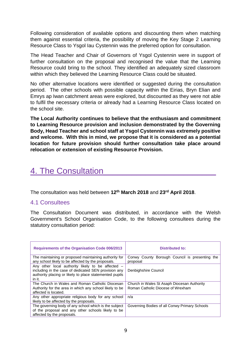Following consideration of available options and discounting them when matching them against essential criteria, the possibility of moving the Key Stage 2 Learning Resource Class to Ysgol Iau Cystennin was the preferred option for consultation.

The Head Teacher and Chair of Governors of Ysgol Cystennin were in support of further consultation on the proposal and recognised the value that the Learning Resource could bring to the school. They identified an adequately sized classroom within which they believed the Learning Resource Class could be situated.

No other alternative locations were identified or suggested during the consultation period. The other schools with possible capacity within the Eirias, Bryn Elian and Emrys ap Iwan catchment areas were explored, but discounted as they were not able to fulfil the necessary criteria or already had a Learning Resource Class located on the school site.

**The Local Authority continues to believe that the enthusiasm and commitment to Learning Resource provision and inclusion demonstrated by the Governing Body, Head Teacher and school staff at Ysgol Cystennin was extremely positive and welcome. With this in mind, we propose that it is considered as a potential location for future provision should further consultation take place around relocation or extension of existing Resource Provision.**

# 4. The Consultation\_\_\_\_\_\_\_\_\_\_\_\_\_\_\_\_\_\_\_\_\_\_\_\_

The consultation was held between **12th March 2018** and **23rd April 2018**.

#### 4.1 Consultees

The Consultation Document was distributed, in accordance with the Welsh Government's School Organisation Code, to the following consultees during the statutory consultation period:

| <b>Requirements of the Organisation Code 006/2013</b>                                                                                                                          | <b>Distributed to:</b>                                     |  |
|--------------------------------------------------------------------------------------------------------------------------------------------------------------------------------|------------------------------------------------------------|--|
| The maintaining or proposed maintaining authority for<br>any school likely to be affected by the proposals.                                                                    | Conwy County Borough Council is presenting the<br>proposal |  |
| Any other local authority likely to be affected -<br>including in the case of dedicated SEN provision any<br>authority placing or likely to place statemented pupils<br>in it. | Denbighshire Council                                       |  |
| The Church in Wales and Roman Catholic Diocesan                                                                                                                                | Church in Wales St Asaph Diocesan Authority                |  |
| Authority for the area in which any school likely to be                                                                                                                        | Roman Catholic Diocese of Wrexham                          |  |
| affected is located.                                                                                                                                                           |                                                            |  |
| Any other appropriate religious body for any school                                                                                                                            | n/a                                                        |  |
| likely to be affected by the proposals.                                                                                                                                        |                                                            |  |
| The governing body of any school which is the subject                                                                                                                          | Governing Bodies of all Conwy Primary Schools              |  |
| of the proposal and any other schools likely to be                                                                                                                             |                                                            |  |
| affected by the proposals.                                                                                                                                                     |                                                            |  |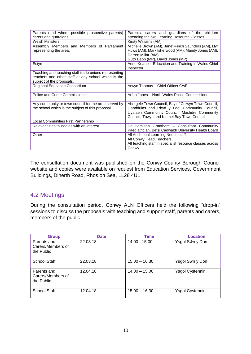| Parents (and where possible prospective parents)<br>carers and guardians. | Parents, carers and guardians of the children<br>attending the two Learning Resource Classes. |  |
|---------------------------------------------------------------------------|-----------------------------------------------------------------------------------------------|--|
| <b>Welsh Ministers</b>                                                    | Kirsty Williams (AM).                                                                         |  |
| Assembly Members and Members of Parliament                                | Michelle Brown (AM), Janet-Finch Saunders (AM), Llyr                                          |  |
| representing the area.                                                    | Huws (AM), Mark Isherwood (AM), Mandy Jones (AM),                                             |  |
|                                                                           | Darren Millar (AM)                                                                            |  |
|                                                                           | Guto Bebb (MP), David Jones (MP)                                                              |  |
| Estyn                                                                     | Anne Keane - Education and Training in Wales Chief                                            |  |
|                                                                           | Inspector                                                                                     |  |
| Teaching and teaching staff trade unions representing                     |                                                                                               |  |
| teachers and other staff at any school which is the                       |                                                                                               |  |
| subject of the proposals.                                                 |                                                                                               |  |
| <b>Regional Education Consortium</b>                                      | Arwyn Thomas - Chief Officer GwE                                                              |  |
|                                                                           |                                                                                               |  |
| Police and Crime Commissioner                                             | Arfon Jones - North Wales Police Commissioner                                                 |  |
|                                                                           |                                                                                               |  |
| Any community or town council for the area served by                      | Abergele Town Council, Bay of Colwyn Town Council,                                            |  |
| the school which is the subject of this proposal.                         | Llanddulas and Rhyd y Foel Community Council,                                                 |  |
|                                                                           | Llysfaen Community Council, Mochdre Community                                                 |  |
|                                                                           | Council, Towyn and Kinmel Bay Town Council                                                    |  |
| Local Communities First Partnership                                       |                                                                                               |  |
| Relevant Health Bodies with an interest.                                  | Dr Hamilton Grantham - Consultant Community                                                   |  |
|                                                                           | Paediatrician, Betsi Cadwaldr University Health Board                                         |  |
| Other                                                                     | All Additional Learning Needs staff                                                           |  |
|                                                                           | All Conwy Head Teachers                                                                       |  |
|                                                                           | All teaching staff in specialist resource classes across                                      |  |
|                                                                           | Conwy                                                                                         |  |

The consultation document was published on the Conwy County Borough Council website and copies were available on request from Education Services, Government Buildings, Dinerth Road, Rhos on Sea, LL28 4UL.

#### 4.2 Meetings

During the consultation period, Conwy ALN Officers held the following "drop-in" sessions to discuss the proposals with teaching and support staff, parents and carers, members of the public.

| <b>Group</b>                                   | <b>Date</b> | <b>Time</b>     | <b>Location</b>        |
|------------------------------------------------|-------------|-----------------|------------------------|
| Parents and<br>Carers/Members of<br>the Public | 22.03.18    | 14.00 - 15.00   | Ysgol Sŵn y Don        |
| <b>School Staff</b>                            | 22.03.18    | $15.00 - 16.30$ | Ysgol Sŵn y Don        |
| Parents and<br>Carers/Members of<br>the Public | 12.04.18    | $14.00 - 15.00$ | <b>Ysgol Cystennin</b> |
| <b>School Staff</b>                            | 12.04.18    | $15.00 - 16.30$ | <b>Ysgol Cystennin</b> |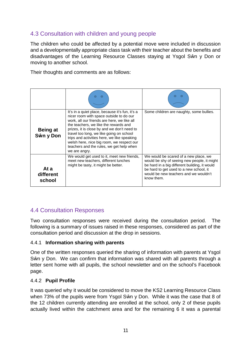## 4.3 Consultation with children and young people

The children who could be affected by a potential move were included in discussion and a developmentally appropriate class task with their teacher about the benefits and disadvantages of the Learning Resource Classes staying at Ysgol Sŵn y Don or moving to another school.

Their thoughts and comments are as follows:

| <b>Being at</b><br>Sŵn y Don | It's in a quiet place, because it's fun, it's a<br>nicer room with space outside to do our<br>work, all our friends are here, we like all<br>the teachers, we like the rewards and<br>prizes, it is close by and we don't need to<br>travel too long, we like going on school<br>trips and activities here, we like speaking<br>welsh here, nice big room, we respect our<br>teachers and the rules, we get help when<br>we are angry. | Some children are naughty, some bullies.                                                                                                                                                                                                |
|------------------------------|----------------------------------------------------------------------------------------------------------------------------------------------------------------------------------------------------------------------------------------------------------------------------------------------------------------------------------------------------------------------------------------------------------------------------------------|-----------------------------------------------------------------------------------------------------------------------------------------------------------------------------------------------------------------------------------------|
| At a<br>different<br>school  | We would get used to it, meet new friends,<br>meet new teachers, different lunches<br>might be tasty, it might be better.                                                                                                                                                                                                                                                                                                              | We would be scared of a new place, we<br>would be shy of seeing new people, it might<br>be hard in a big different building, it would<br>be hard to get used to a new school, it<br>would be new teachers and we wouldn't<br>know them. |

### 4.4 Consultation Responses

Two consultation responses were received during the consultation period. The following is a summary of issues raised in these responses, considered as part of the consultation period and discussion at the drop in sessions.

#### 4.4.1 **Information sharing with parents**

One of the written responses queried the sharing of information with parents at Ysgol Sŵn y Don. We can confirm that information was shared with all parents through a letter sent home with all pupils, the school newsletter and on the school's Facebook page.

#### 4.4.2 **Pupil Profile**

It was queried why it would be considered to move the KS2 Learning Resource Class when 73% of the pupils were from Ysgol Sŵn y Don. While it was the case that 8 of the 12 children currently attending are enrolled at the school, only 2 of these pupils actually lived within the catchment area and for the remaining 6 it was a parental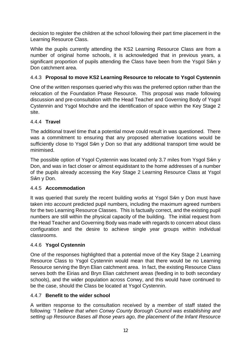decision to register the children at the school following their part time placement in the Learning Resource Class.

While the pupils currently attending the KS2 Learning Resource Class are from a number of original home schools, it is acknowledged that in previous years, a significant proportion of pupils attending the Class have been from the Ysgol Sŵn y Don catchment area.

#### 4.4.3 **Proposal to move KS2 Learning Resource to relocate to Ysgol Cystennin**

One of the written responses queried why this was the preferred option rather than the relocation of the Foundation Phase Resource. This proposal was made following discussion and pre-consultation with the Head Teacher and Governing Body of Ysgol Cystennin and Ysgol Mochdre and the identification of space within the Key Stage 2 site.

#### 4.4.4 **Travel**

The additional travel time that a potential move could result in was questioned. There was a commitment to ensuring that any proposed alternative locations would be sufficiently close to Ysgol Sŵn y Don so that any additional transport time would be minimised.

The possible option of Ysgol Cystennin was located only 3.7 miles from Ysgol Sŵn y Don, and was in fact closer or almost equidistant to the home addresses of a number of the pupils already accessing the Key Stage 2 Learning Resource Class at Ysgol Sŵn y Don.

#### 4.4.5 **Accommodation**

It was queried that surely the recent building works at Ysgol Sŵn y Don must have taken into account predicted pupil numbers, including the maximum agreed numbers for the two Learning Resource Classes. This is factually correct, and the existing pupil numbers are still within the physical capacity of the building. The initial request from the Head Teacher and Governing Body was made with regards to concern about class configuration and the desire to achieve single year groups within individual classrooms.

#### 4.4.6 **Ysgol Cystennin**

One of the responses highlighted that a potential move of the Key Stage 2 Learning Resource Class to Ysgol Cystennin would mean that there would be no Learning Resource serving the Bryn Elian catchment area. In fact, the existing Resource Class serves both the Eirias and Bryn Elian catchment areas (feeding in to both secondary schools), and the wider population across Conwy, and this would have continued to be the case, should the Class be located at Ysgol Cystennin.

#### 4.4.7 **Benefit to the wider school**

A written response to the consultation received by a member of staff stated the following*: "I believe that when Conwy County Borough Council was establishing and setting up Resource Bases all those years ago, the placement of the Infant Resource*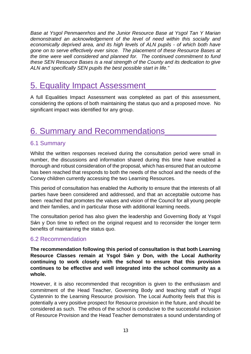*Base at Ysgol Penmaenrhos and the Junior Resource Base at Ysgol Tan Y Marian demonstrated an acknowledgement of the level of need within this socially and economically deprived area, and its high levels of ALN pupils - of which both have gone on to serve effectively ever since. The placement of these Resource Bases at the time were well considered and planned for. The continued commitment to fund these SEN Resource Bases is a real strength of the County and its dedication to give ALN and specifically SEN pupils the best possible start in life."*

# 5. Equality Impact Assessment

A full Equalities Impact Assessment was completed as part of this assessment, considering the options of both maintaining the status quo and a proposed move. No significant impact was identified for any group.

# 6. Summary and Recommendations\_\_\_\_\_\_\_\_\_\_\_

### 6.1 Summary

Whilst the written responses received during the consultation period were small in number, the discussions and information shared during this time have enabled a thorough and robust consideration of the proposal, which has ensured that an outcome has been reached that responds to both the needs of the school and the needs of the Conwy children currently accessing the two Learning Resources.

This period of consultation has enabled the Authority to ensure that the interests of all parties have been considered and addressed, and that an acceptable outcome has been reached that promotes the values and vision of the Council for all young people and their families, and in particular those with additional learning needs.

The consultation period has also given the leadership and Governing Body at Ysgol Sŵn y Don time to reflect on the original request and to reconsider the longer term benefits of maintaining the status quo.

#### 6.2 Recommendation

**The recommendation following this period of consultation is that both Learning Resource Classes remain at Ysgol Sŵn y Don, with the Local Authority continuing to work closely with the school to ensure that this provision continues to be effective and well integrated into the school community as a whole.**

However, it is also recommended that recognition is given to the enthusiasm and commitment of the Head Teacher, Governing Body and teaching staff of Ysgol Cystennin to the Learning Resource provision. The Local Authority feels that this is potentially a very positive prospect for Resource provision in the future, and should be considered as such. The ethos of the school is conducive to the successful inclusion of Resource Provision and the Head Teacher demonstrates a sound understanding of